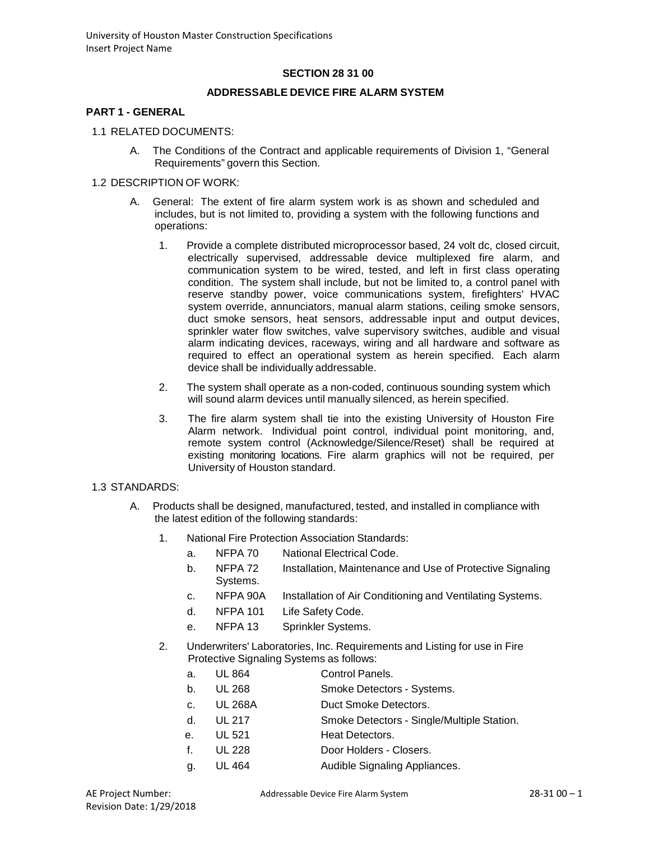### **SECTION 28 31 00**

#### **ADDRESSABLE DEVICE FIRE ALARM SYSTEM**

#### **PART 1 - GENERAL**

- 1.1 RELATED DOCUMENTS:
	- A. The Conditions of the Contract and applicable requirements of Division 1, "General Requirements" govern this Section.

#### 1.2 DESCRIPTION OF WORK:

- A. General: The extent of fire alarm system work is as shown and scheduled and includes, but is not limited to, providing a system with the following functions and operations:
	- 1. Provide a complete distributed microprocessor based, 24 volt dc, closed circuit, electrically supervised, addressable device multiplexed fire alarm, and communication system to be wired, tested, and left in first class operating condition. The system shall include, but not be limited to, a control panel with reserve standby power, voice communications system, firefighters' HVAC system override, annunciators, manual alarm stations, ceiling smoke sensors, duct smoke sensors, heat sensors, addressable input and output devices, sprinkler water flow switches, valve supervisory switches, audible and visual alarm indicating devices, raceways, wiring and all hardware and software as required to effect an operational system as herein specified. Each alarm device shall be individually addressable.
	- 2. The system shall operate as a non-coded, continuous sounding system which will sound alarm devices until manually silenced, as herein specified.
	- 3. The fire alarm system shall tie into the existing University of Houston Fire Alarm network. Individual point control, individual point monitoring, and, remote system control (Acknowledge/Silence/Reset) shall be required at existing monitoring locations. Fire alarm graphics will not be required, per University of Houston standard.

#### 1.3 STANDARDS:

- A. Products shall be designed, manufactured, tested, and installed in compliance with the latest edition of the following standards:
	- 1. National Fire Protection Association Standards:
		- a. NFPA 70 National Electrical Code.
		- b. NFPA 72 Installation, Maintenance and Use of Protective Signaling Systems.
		- c. NFPA 90A Installation of Air Conditioning and Ventilating Systems.
		- d. NFPA 101 Life Safety Code.
		- e. NFPA 13 Sprinkler Systems.
	- 2. Underwriters' Laboratories, Inc. Requirements and Listing for use in Fire Protective Signaling Systems as follows:
		- a. UL 864 Control Panels.
		- b. UL 268 Smoke Detectors Systems.
		- c. UL 268A Duct Smoke Detectors.
		- d. UL 217 Smoke Detectors Single/Multiple Station.
		- e. UL 521 Heat Detectors.
		- f. UL 228 Door Holders Closers.
		- g. UL 464 Audible Signaling Appliances.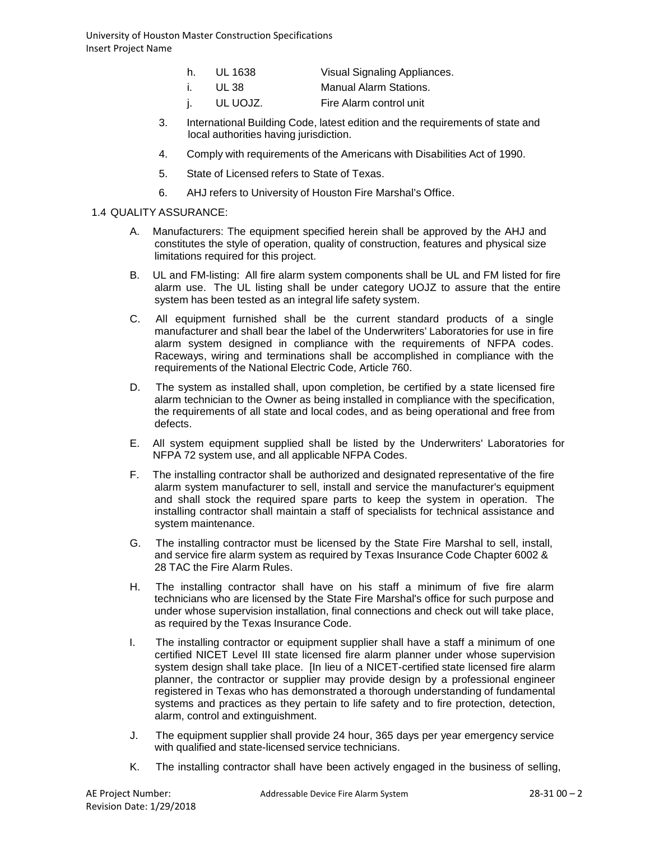- h. UL 1638 Visual Signaling Appliances.
- i. UL 38 Manual Alarm Stations.
- j. UL UOJZ. Fire Alarm control unit
- 3. International Building Code, latest edition and the requirements of state and local authorities having jurisdiction.
- 4. Comply with requirements of the Americans with Disabilities Act of 1990.
- 5. State of Licensed refers to State of Texas.
- 6. AHJ refers to University of Houston Fire Marshal's Office.

### 1.4 QUALITY ASSURANCE:

- A. Manufacturers: The equipment specified herein shall be approved by the AHJ and constitutes the style of operation, quality of construction, features and physical size limitations required for this project.
- B. UL and FM-listing: All fire alarm system components shall be UL and FM listed for fire alarm use. The UL listing shall be under category UOJZ to assure that the entire system has been tested as an integral life safety system.
- C. All equipment furnished shall be the current standard products of a single manufacturer and shall bear the label of the Underwriters' Laboratories for use in fire alarm system designed in compliance with the requirements of NFPA codes. Raceways, wiring and terminations shall be accomplished in compliance with the requirements of the National Electric Code, Article 760.
- D. The system as installed shall, upon completion, be certified by a state licensed fire alarm technician to the Owner as being installed in compliance with the specification, the requirements of all state and local codes, and as being operational and free from defects.
- E. All system equipment supplied shall be listed by the Underwriters' Laboratories for NFPA 72 system use, and all applicable NFPA Codes.
- F. The installing contractor shall be authorized and designated representative of the fire alarm system manufacturer to sell, install and service the manufacturer's equipment and shall stock the required spare parts to keep the system in operation. The installing contractor shall maintain a staff of specialists for technical assistance and system maintenance.
- G. The installing contractor must be licensed by the State Fire Marshal to sell, install, and service fire alarm system as required by Texas Insurance Code Chapter 6002 & 28 TAC the Fire Alarm Rules.
- H. The installing contractor shall have on his staff a minimum of five fire alarm technicians who are licensed by the State Fire Marshal's office for such purpose and under whose supervision installation, final connections and check out will take place, as required by the Texas Insurance Code.
- I. The installing contractor or equipment supplier shall have a staff a minimum of one certified NICET Level III state licensed fire alarm planner under whose supervision system design shall take place. [In lieu of a NICET-certified state licensed fire alarm planner, the contractor or supplier may provide design by a professional engineer registered in Texas who has demonstrated a thorough understanding of fundamental systems and practices as they pertain to life safety and to fire protection, detection, alarm, control and extinguishment.
- J. The equipment supplier shall provide 24 hour, 365 days per year emergency service with qualified and state-licensed service technicians.
- K. The installing contractor shall have been actively engaged in the business of selling,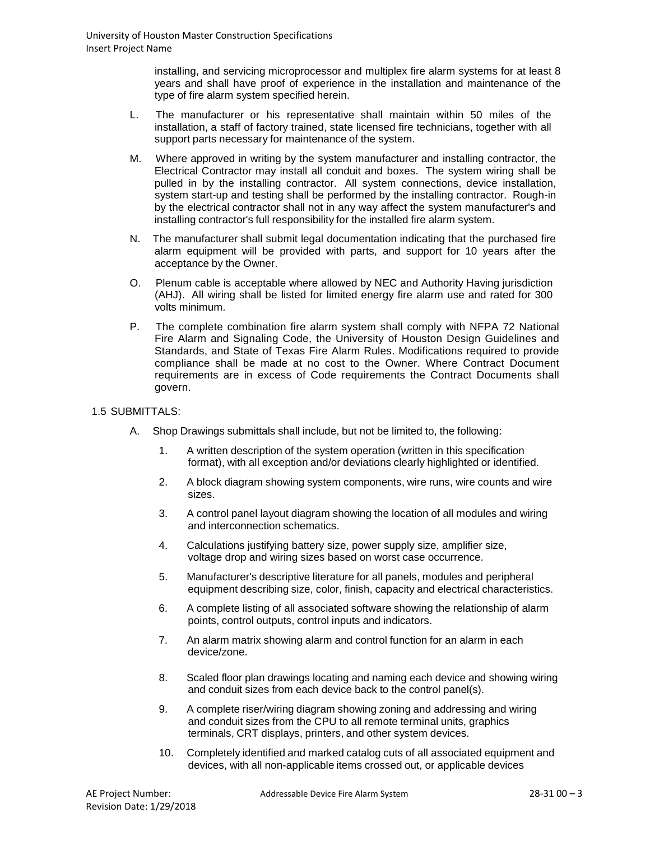installing, and servicing microprocessor and multiplex fire alarm systems for at least 8 years and shall have proof of experience in the installation and maintenance of the type of fire alarm system specified herein.

- L. The manufacturer or his representative shall maintain within 50 miles of the installation, a staff of factory trained, state licensed fire technicians, together with all support parts necessary for maintenance of the system.
- M. Where approved in writing by the system manufacturer and installing contractor, the Electrical Contractor may install all conduit and boxes. The system wiring shall be pulled in by the installing contractor. All system connections, device installation, system start-up and testing shall be performed by the installing contractor. Rough-in by the electrical contractor shall not in any way affect the system manufacturer's and installing contractor's full responsibility for the installed fire alarm system.
- N. The manufacturer shall submit legal documentation indicating that the purchased fire alarm equipment will be provided with parts, and support for 10 years after the acceptance by the Owner.
- O. Plenum cable is acceptable where allowed by NEC and Authority Having jurisdiction (AHJ). All wiring shall be listed for limited energy fire alarm use and rated for 300 volts minimum.
- P. The complete combination fire alarm system shall comply with NFPA 72 National Fire Alarm and Signaling Code, the University of Houston Design Guidelines and Standards, and State of Texas Fire Alarm Rules. Modifications required to provide compliance shall be made at no cost to the Owner. Where Contract Document requirements are in excess of Code requirements the Contract Documents shall govern.

## 1.5 SUBMITTALS:

- A. Shop Drawings submittals shall include, but not be limited to, the following:
	- 1. A written description of the system operation (written in this specification format), with all exception and/or deviations clearly highlighted or identified.
	- 2. A block diagram showing system components, wire runs, wire counts and wire sizes.
	- 3. A control panel layout diagram showing the location of all modules and wiring and interconnection schematics.
	- 4. Calculations justifying battery size, power supply size, amplifier size, voltage drop and wiring sizes based on worst case occurrence.
	- 5. Manufacturer's descriptive literature for all panels, modules and peripheral equipment describing size, color, finish, capacity and electrical characteristics.
	- 6. A complete listing of all associated software showing the relationship of alarm points, control outputs, control inputs and indicators.
	- 7. An alarm matrix showing alarm and control function for an alarm in each device/zone.
	- 8. Scaled floor plan drawings locating and naming each device and showing wiring and conduit sizes from each device back to the control panel(s).
	- 9. A complete riser/wiring diagram showing zoning and addressing and wiring and conduit sizes from the CPU to all remote terminal units, graphics terminals, CRT displays, printers, and other system devices.
	- 10. Completely identified and marked catalog cuts of all associated equipment and devices, with all non-applicable items crossed out, or applicable devices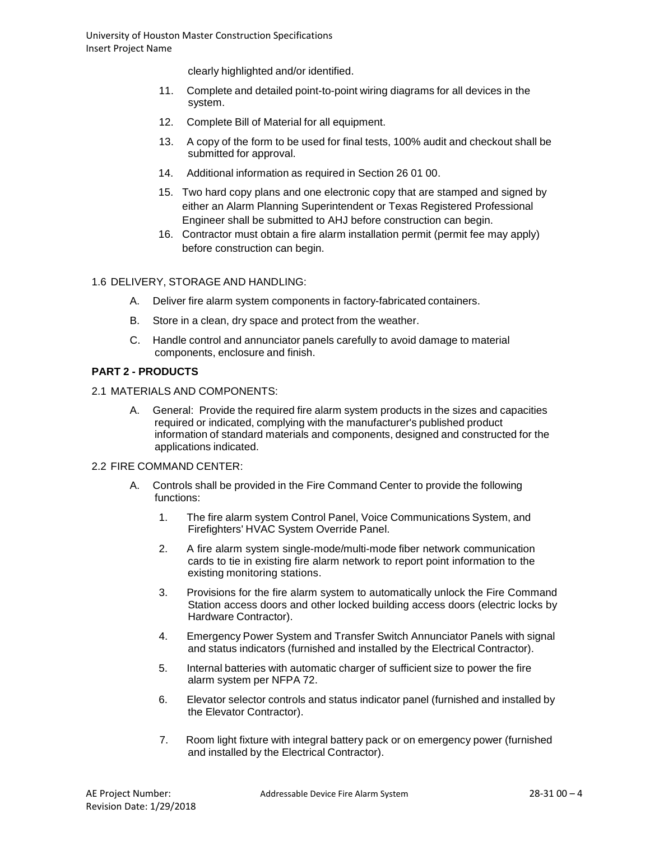clearly highlighted and/or identified.

- 11. Complete and detailed point-to-point wiring diagrams for all devices in the system.
- 12. Complete Bill of Material for all equipment.
- 13. A copy of the form to be used for final tests, 100% audit and checkout shall be submitted for approval.
- 14. Additional information as required in Section 26 01 00.
- 15. Two hard copy plans and one electronic copy that are stamped and signed by either an Alarm Planning Superintendent or Texas Registered Professional Engineer shall be submitted to AHJ before construction can begin.
- 16. Contractor must obtain a fire alarm installation permit (permit fee may apply) before construction can begin.

### 1.6 DELIVERY, STORAGE AND HANDLING:

- A. Deliver fire alarm system components in factory-fabricated containers.
- B. Store in a clean, dry space and protect from the weather.
- C. Handle control and annunciator panels carefully to avoid damage to material components, enclosure and finish.

# **PART 2 - PRODUCTS**

- 2.1 MATERIALS AND COMPONENTS:
	- A. General: Provide the required fire alarm system products in the sizes and capacities required or indicated, complying with the manufacturer's published product information of standard materials and components, designed and constructed for the applications indicated.

#### 2.2 FIRE COMMAND CENTER:

- A. Controls shall be provided in the Fire Command Center to provide the following functions:
	- 1. The fire alarm system Control Panel, Voice Communications System, and Firefighters' HVAC System Override Panel.
	- 2. A fire alarm system single-mode/multi-mode fiber network communication cards to tie in existing fire alarm network to report point information to the existing monitoring stations.
	- 3. Provisions for the fire alarm system to automatically unlock the Fire Command Station access doors and other locked building access doors (electric locks by Hardware Contractor).
	- 4. Emergency Power System and Transfer Switch Annunciator Panels with signal and status indicators (furnished and installed by the Electrical Contractor).
	- 5. Internal batteries with automatic charger of sufficient size to power the fire alarm system per NFPA 72.
	- 6. Elevator selector controls and status indicator panel (furnished and installed by the Elevator Contractor).
	- 7. Room light fixture with integral battery pack or on emergency power (furnished and installed by the Electrical Contractor).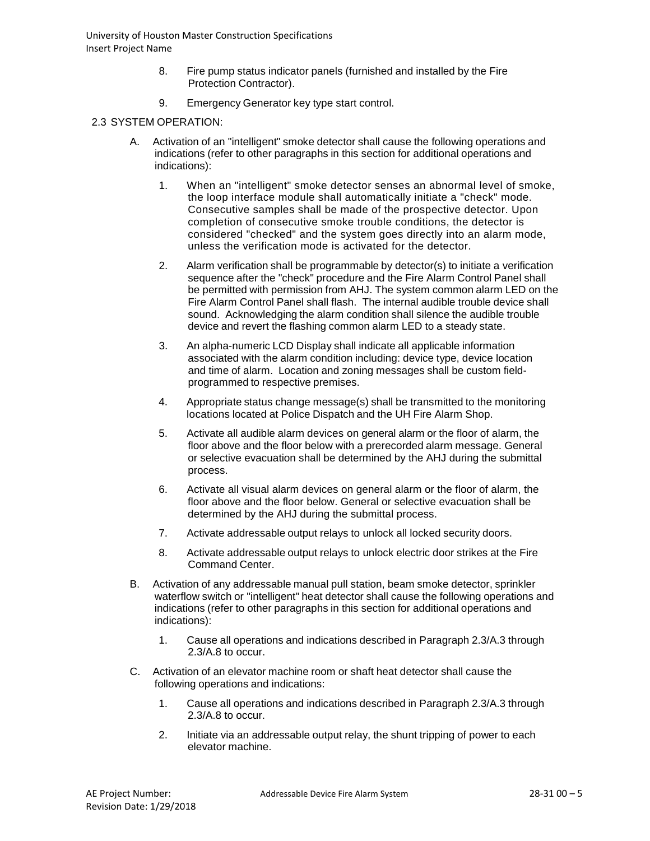- 8. Fire pump status indicator panels (furnished and installed by the Fire Protection Contractor).
- 9. Emergency Generator key type start control.

## 2.3 SYSTEM OPERATION:

- A. Activation of an "intelligent" smoke detector shall cause the following operations and indications (refer to other paragraphs in this section for additional operations and indications):
	- 1. When an "intelligent" smoke detector senses an abnormal level of smoke, the loop interface module shall automatically initiate a "check" mode. Consecutive samples shall be made of the prospective detector. Upon completion of consecutive smoke trouble conditions, the detector is considered "checked" and the system goes directly into an alarm mode, unless the verification mode is activated for the detector.
	- 2. Alarm verification shall be programmable by detector(s) to initiate a verification sequence after the "check" procedure and the Fire Alarm Control Panel shall be permitted with permission from AHJ. The system common alarm LED on the Fire Alarm Control Panel shall flash. The internal audible trouble device shall sound. Acknowledging the alarm condition shall silence the audible trouble device and revert the flashing common alarm LED to a steady state.
	- 3. An alpha-numeric LCD Display shall indicate all applicable information associated with the alarm condition including: device type, device location and time of alarm. Location and zoning messages shall be custom fieldprogrammed to respective premises.
	- 4. Appropriate status change message(s) shall be transmitted to the monitoring locations located at Police Dispatch and the UH Fire Alarm Shop.
	- 5. Activate all audible alarm devices on general alarm or the floor of alarm, the floor above and the floor below with a prerecorded alarm message. General or selective evacuation shall be determined by the AHJ during the submittal process.
	- 6. Activate all visual alarm devices on general alarm or the floor of alarm, the floor above and the floor below. General or selective evacuation shall be determined by the AHJ during the submittal process.
	- 7. Activate addressable output relays to unlock all locked security doors.
	- 8. Activate addressable output relays to unlock electric door strikes at the Fire Command Center.
- B. Activation of any addressable manual pull station, beam smoke detector, sprinkler waterflow switch or "intelligent" heat detector shall cause the following operations and indications (refer to other paragraphs in this section for additional operations and indications):
	- 1. Cause all operations and indications described in Paragraph 2.3/A.3 through 2.3/A.8 to occur.
- C. Activation of an elevator machine room or shaft heat detector shall cause the following operations and indications:
	- 1. Cause all operations and indications described in Paragraph 2.3/A.3 through 2.3/A.8 to occur.
	- 2. Initiate via an addressable output relay, the shunt tripping of power to each elevator machine.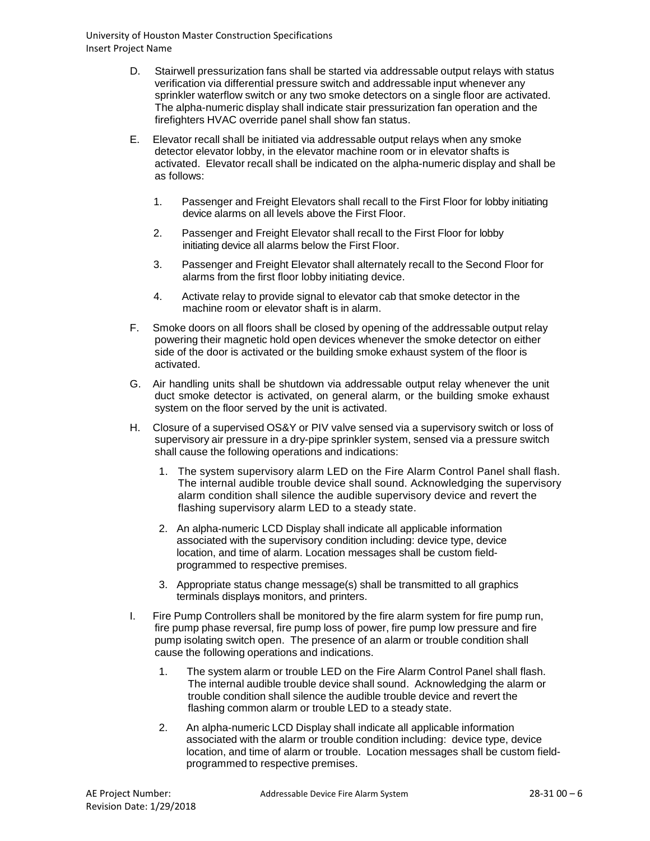- D. Stairwell pressurization fans shall be started via addressable output relays with status verification via differential pressure switch and addressable input whenever any sprinkler waterflow switch or any two smoke detectors on a single floor are activated. The alpha-numeric display shall indicate stair pressurization fan operation and the firefighters HVAC override panel shall show fan status.
- E. Elevator recall shall be initiated via addressable output relays when any smoke detector elevator lobby, in the elevator machine room or in elevator shafts is activated. Elevator recall shall be indicated on the alpha-numeric display and shall be as follows:
	- 1. Passenger and Freight Elevators shall recall to the First Floor for lobby initiating device alarms on all levels above the First Floor.
	- 2. Passenger and Freight Elevator shall recall to the First Floor for lobby initiating device all alarms below the First Floor.
	- 3. Passenger and Freight Elevator shall alternately recall to the Second Floor for alarms from the first floor lobby initiating device.
	- 4. Activate relay to provide signal to elevator cab that smoke detector in the machine room or elevator shaft is in alarm.
- F. Smoke doors on all floors shall be closed by opening of the addressable output relay powering their magnetic hold open devices whenever the smoke detector on either side of the door is activated or the building smoke exhaust system of the floor is activated.
- G. Air handling units shall be shutdown via addressable output relay whenever the unit duct smoke detector is activated, on general alarm, or the building smoke exhaust system on the floor served by the unit is activated.
- H. Closure of a supervised OS&Y or PIV valve sensed via a supervisory switch or loss of supervisory air pressure in a dry-pipe sprinkler system, sensed via a pressure switch shall cause the following operations and indications:
	- 1. The system supervisory alarm LED on the Fire Alarm Control Panel shall flash. The internal audible trouble device shall sound. Acknowledging the supervisory alarm condition shall silence the audible supervisory device and revert the flashing supervisory alarm LED to a steady state.
	- 2. An alpha-numeric LCD Display shall indicate all applicable information associated with the supervisory condition including: device type, device location, and time of alarm. Location messages shall be custom fieldprogrammed to respective premises.
	- 3. Appropriate status change message(s) shall be transmitted to all graphics terminals displays monitors, and printers.
- I. Fire Pump Controllers shall be monitored by the fire alarm system for fire pump run, fire pump phase reversal, fire pump loss of power, fire pump low pressure and fire pump isolating switch open. The presence of an alarm or trouble condition shall cause the following operations and indications.
	- 1. The system alarm or trouble LED on the Fire Alarm Control Panel shall flash. The internal audible trouble device shall sound. Acknowledging the alarm or trouble condition shall silence the audible trouble device and revert the flashing common alarm or trouble LED to a steady state.
	- 2. An alpha-numeric LCD Display shall indicate all applicable information associated with the alarm or trouble condition including: device type, device location, and time of alarm or trouble. Location messages shall be custom fieldprogrammed to respective premises.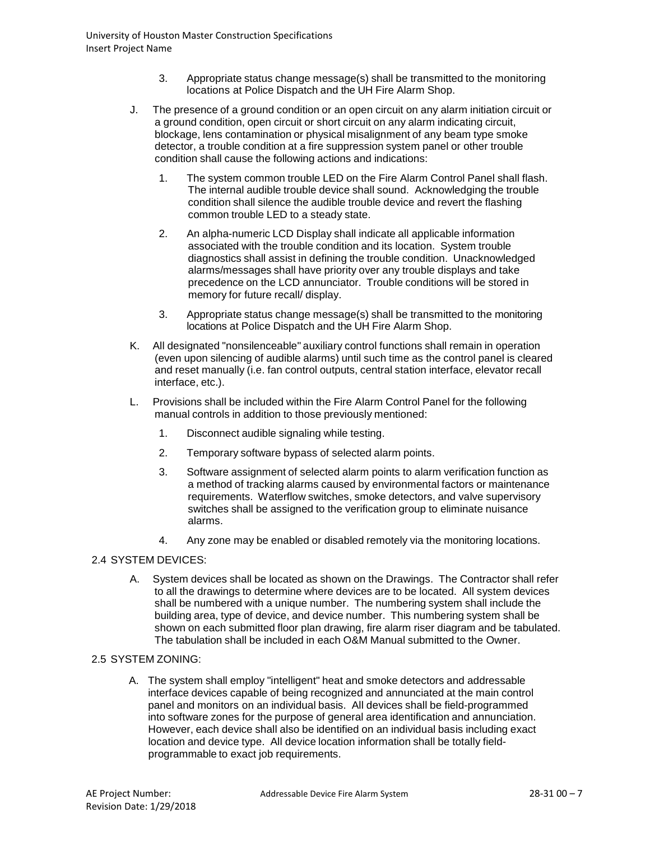- 3. Appropriate status change message(s) shall be transmitted to the monitoring locations at Police Dispatch and the UH Fire Alarm Shop.
- J. The presence of a ground condition or an open circuit on any alarm initiation circuit or a ground condition, open circuit or short circuit on any alarm indicating circuit, blockage, lens contamination or physical misalignment of any beam type smoke detector, a trouble condition at a fire suppression system panel or other trouble condition shall cause the following actions and indications:
	- 1. The system common trouble LED on the Fire Alarm Control Panel shall flash. The internal audible trouble device shall sound. Acknowledging the trouble condition shall silence the audible trouble device and revert the flashing common trouble LED to a steady state.
	- 2. An alpha-numeric LCD Display shall indicate all applicable information associated with the trouble condition and its location. System trouble diagnostics shall assist in defining the trouble condition. Unacknowledged alarms/messages shall have priority over any trouble displays and take precedence on the LCD annunciator. Trouble conditions will be stored in memory for future recall/ display.
	- 3. Appropriate status change message(s) shall be transmitted to the monitoring locations at Police Dispatch and the UH Fire Alarm Shop.
- K. All designated "nonsilenceable" auxiliary control functions shall remain in operation (even upon silencing of audible alarms) until such time as the control panel is cleared and reset manually (i.e. fan control outputs, central station interface, elevator recall interface, etc.).
- L. Provisions shall be included within the Fire Alarm Control Panel for the following manual controls in addition to those previously mentioned:
	- 1. Disconnect audible signaling while testing.
	- 2. Temporary software bypass of selected alarm points.
	- 3. Software assignment of selected alarm points to alarm verification function as a method of tracking alarms caused by environmental factors or maintenance requirements. Waterflow switches, smoke detectors, and valve supervisory switches shall be assigned to the verification group to eliminate nuisance alarms.
	- 4. Any zone may be enabled or disabled remotely via the monitoring locations.

## 2.4 SYSTEM DEVICES:

A. System devices shall be located as shown on the Drawings. The Contractor shall refer to all the drawings to determine where devices are to be located. All system devices shall be numbered with a unique number. The numbering system shall include the building area, type of device, and device number. This numbering system shall be shown on each submitted floor plan drawing, fire alarm riser diagram and be tabulated. The tabulation shall be included in each O&M Manual submitted to the Owner.

## 2.5 SYSTEM ZONING:

A. The system shall employ "intelligent" heat and smoke detectors and addressable interface devices capable of being recognized and annunciated at the main control panel and monitors on an individual basis. All devices shall be field-programmed into software zones for the purpose of general area identification and annunciation. However, each device shall also be identified on an individual basis including exact location and device type. All device location information shall be totally fieldprogrammable to exact job requirements.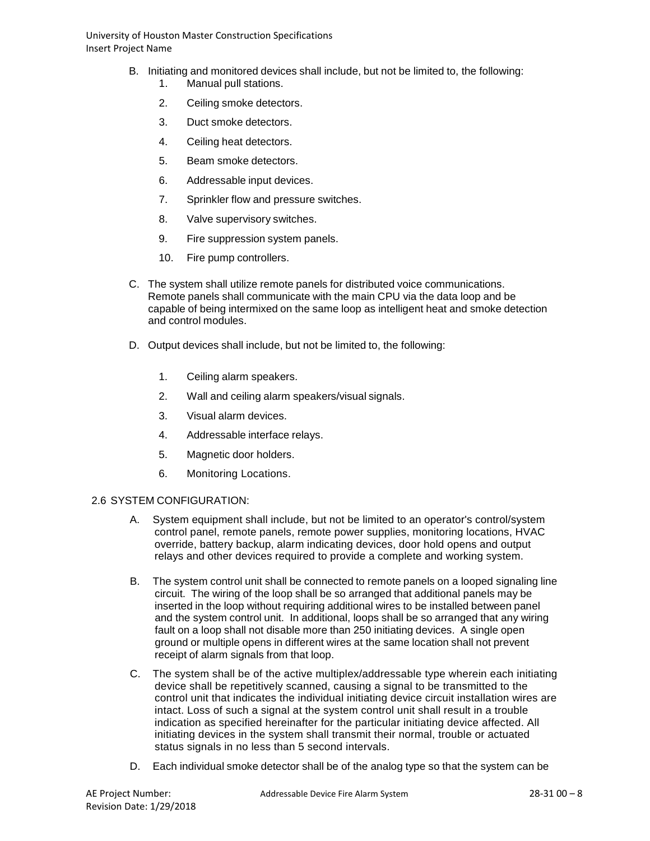- B. Initiating and monitored devices shall include, but not be limited to, the following:
	- 1. Manual pull stations.
	- 2. Ceiling smoke detectors.
	- 3. Duct smoke detectors.
	- 4. Ceiling heat detectors.
	- 5. Beam smoke detectors.
	- 6. Addressable input devices.
	- 7. Sprinkler flow and pressure switches.
	- 8. Valve supervisory switches.
	- 9. Fire suppression system panels.
	- 10. Fire pump controllers.
- C. The system shall utilize remote panels for distributed voice communications. Remote panels shall communicate with the main CPU via the data loop and be capable of being intermixed on the same loop as intelligent heat and smoke detection and control modules.
- D. Output devices shall include, but not be limited to, the following:
	- 1. Ceiling alarm speakers.
	- 2. Wall and ceiling alarm speakers/visual signals.
	- 3. Visual alarm devices.
	- 4. Addressable interface relays.
	- 5. Magnetic door holders.
	- 6. Monitoring Locations.

#### 2.6 SYSTEM CONFIGURATION:

- A. System equipment shall include, but not be limited to an operator's control/system control panel, remote panels, remote power supplies, monitoring locations, HVAC override, battery backup, alarm indicating devices, door hold opens and output relays and other devices required to provide a complete and working system.
- B. The system control unit shall be connected to remote panels on a looped signaling line circuit. The wiring of the loop shall be so arranged that additional panels may be inserted in the loop without requiring additional wires to be installed between panel and the system control unit. In additional, loops shall be so arranged that any wiring fault on a loop shall not disable more than 250 initiating devices. A single open ground or multiple opens in different wires at the same location shall not prevent receipt of alarm signals from that loop.
- C. The system shall be of the active multiplex/addressable type wherein each initiating device shall be repetitively scanned, causing a signal to be transmitted to the control unit that indicates the individual initiating device circuit installation wires are intact. Loss of such a signal at the system control unit shall result in a trouble indication as specified hereinafter for the particular initiating device affected. All initiating devices in the system shall transmit their normal, trouble or actuated status signals in no less than 5 second intervals.
- D. Each individual smoke detector shall be of the analog type so that the system can be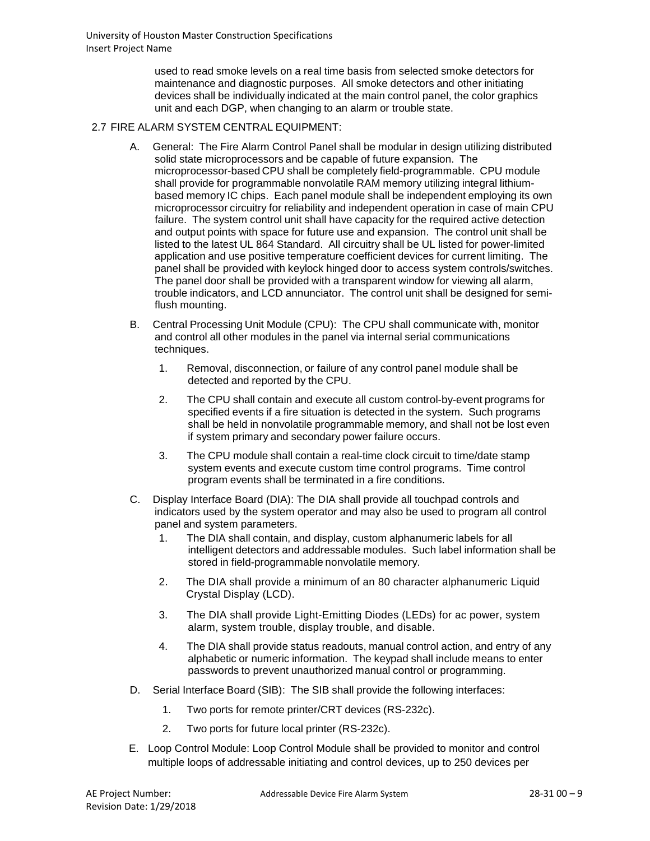used to read smoke levels on a real time basis from selected smoke detectors for maintenance and diagnostic purposes. All smoke detectors and other initiating devices shall be individually indicated at the main control panel, the color graphics unit and each DGP, when changing to an alarm or trouble state.

### 2.7 FIRE ALARM SYSTEM CENTRAL EQUIPMENT:

- A. General: The Fire Alarm Control Panel shall be modular in design utilizing distributed solid state microprocessors and be capable of future expansion. The microprocessor-based CPU shall be completely field-programmable. CPU module shall provide for programmable nonvolatile RAM memory utilizing integral lithiumbased memory IC chips. Each panel module shall be independent employing its own microprocessor circuitry for reliability and independent operation in case of main CPU failure. The system control unit shall have capacity for the required active detection and output points with space for future use and expansion. The control unit shall be listed to the latest UL 864 Standard. All circuitry shall be UL listed for power-limited application and use positive temperature coefficient devices for current limiting. The panel shall be provided with keylock hinged door to access system controls/switches. The panel door shall be provided with a transparent window for viewing all alarm, trouble indicators, and LCD annunciator. The control unit shall be designed for semiflush mounting.
- B. Central Processing Unit Module (CPU): The CPU shall communicate with, monitor and control all other modules in the panel via internal serial communications techniques.
	- 1. Removal, disconnection, or failure of any control panel module shall be detected and reported by the CPU.
	- 2. The CPU shall contain and execute all custom control-by-event programs for specified events if a fire situation is detected in the system. Such programs shall be held in nonvolatile programmable memory, and shall not be lost even if system primary and secondary power failure occurs.
	- 3. The CPU module shall contain a real-time clock circuit to time/date stamp system events and execute custom time control programs. Time control program events shall be terminated in a fire conditions.
- C. Display Interface Board (DIA): The DIA shall provide all touchpad controls and indicators used by the system operator and may also be used to program all control panel and system parameters.
	- 1. The DIA shall contain, and display, custom alphanumeric labels for all intelligent detectors and addressable modules. Such label information shall be stored in field-programmable nonvolatile memory.
	- 2. The DIA shall provide a minimum of an 80 character alphanumeric Liquid Crystal Display (LCD).
	- 3. The DIA shall provide Light-Emitting Diodes (LEDs) for ac power, system alarm, system trouble, display trouble, and disable.
	- 4. The DIA shall provide status readouts, manual control action, and entry of any alphabetic or numeric information. The keypad shall include means to enter passwords to prevent unauthorized manual control or programming.
- D. Serial Interface Board (SIB): The SIB shall provide the following interfaces:
	- 1. Two ports for remote printer/CRT devices (RS-232c).
	- 2. Two ports for future local printer (RS-232c).
- E. Loop Control Module: Loop Control Module shall be provided to monitor and control multiple loops of addressable initiating and control devices, up to 250 devices per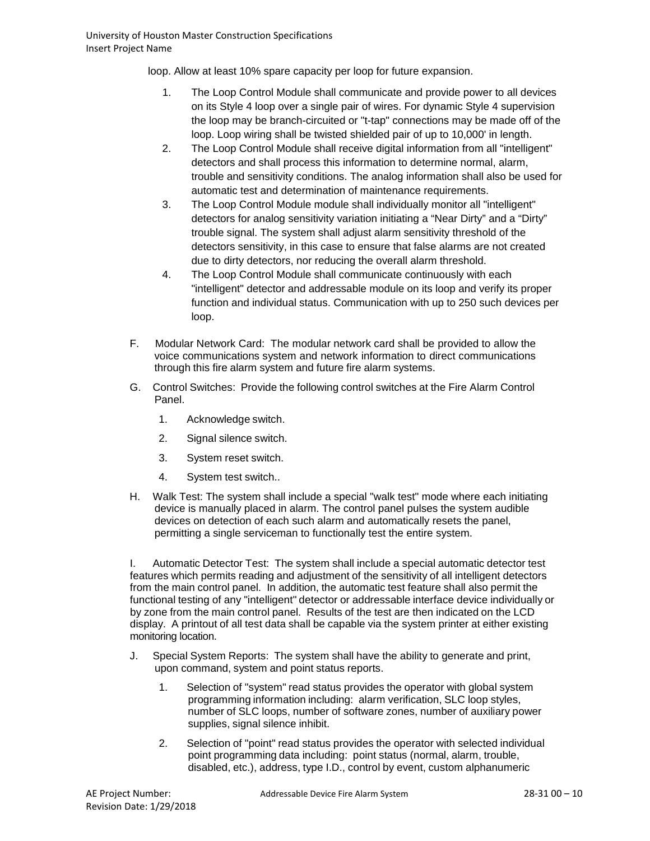loop. Allow at least 10% spare capacity per loop for future expansion.

- 1. The Loop Control Module shall communicate and provide power to all devices on its Style 4 loop over a single pair of wires. For dynamic Style 4 supervision the loop may be branch-circuited or "t-tap" connections may be made off of the loop. Loop wiring shall be twisted shielded pair of up to 10,000' in length.
- 2. The Loop Control Module shall receive digital information from all "intelligent" detectors and shall process this information to determine normal, alarm, trouble and sensitivity conditions. The analog information shall also be used for automatic test and determination of maintenance requirements.
- 3. The Loop Control Module module shall individually monitor all "intelligent" detectors for analog sensitivity variation initiating a "Near Dirty" and a "Dirty" trouble signal. The system shall adjust alarm sensitivity threshold of the detectors sensitivity, in this case to ensure that false alarms are not created due to dirty detectors, nor reducing the overall alarm threshold.
- 4. The Loop Control Module shall communicate continuously with each "intelligent" detector and addressable module on its loop and verify its proper function and individual status. Communication with up to 250 such devices per loop.
- F. Modular Network Card: The modular network card shall be provided to allow the voice communications system and network information to direct communications through this fire alarm system and future fire alarm systems.
- G. Control Switches: Provide the following control switches at the Fire Alarm Control Panel.
	- 1. Acknowledge switch.
	- 2. Signal silence switch.
	- 3. System reset switch.
	- 4. System test switch..
- H. Walk Test: The system shall include a special "walk test" mode where each initiating device is manually placed in alarm. The control panel pulses the system audible devices on detection of each such alarm and automatically resets the panel, permitting a single serviceman to functionally test the entire system.

I. Automatic Detector Test: The system shall include a special automatic detector test features which permits reading and adjustment of the sensitivity of all intelligent detectors from the main control panel. In addition, the automatic test feature shall also permit the functional testing of any "intelligent" detector or addressable interface device individually or by zone from the main control panel. Results of the test are then indicated on the LCD display. A printout of all test data shall be capable via the system printer at either existing monitoring location.

- J. Special System Reports: The system shall have the ability to generate and print, upon command, system and point status reports.
	- 1. Selection of "system" read status provides the operator with global system programming information including: alarm verification, SLC loop styles, number of SLC loops, number of software zones, number of auxiliary power supplies, signal silence inhibit.
	- 2. Selection of "point" read status provides the operator with selected individual point programming data including: point status (normal, alarm, trouble, disabled, etc.), address, type I.D., control by event, custom alphanumeric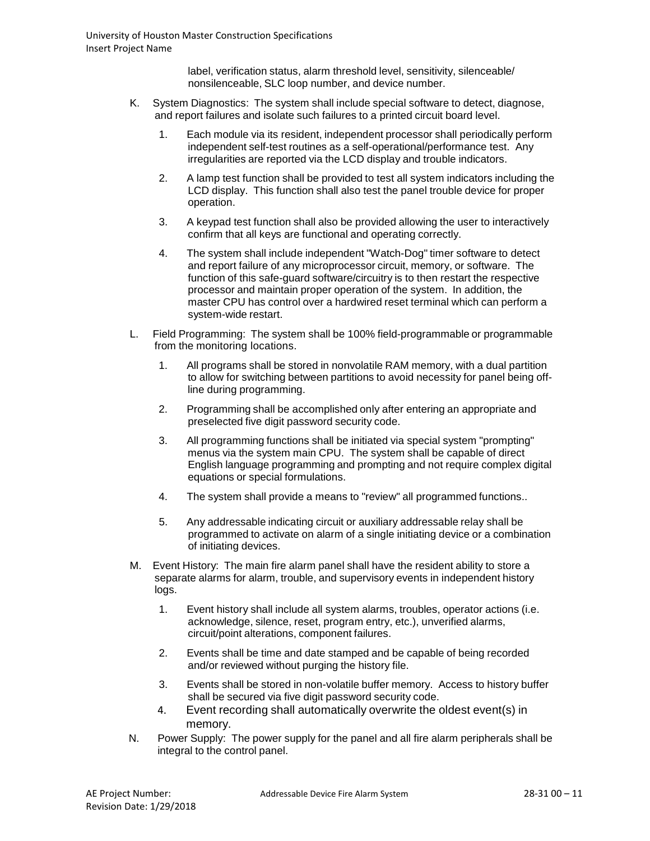label, verification status, alarm threshold level, sensitivity, silenceable/ nonsilenceable, SLC loop number, and device number.

- K. System Diagnostics: The system shall include special software to detect, diagnose, and report failures and isolate such failures to a printed circuit board level.
	- 1. Each module via its resident, independent processor shall periodically perform independent self-test routines as a self-operational/performance test. Any irregularities are reported via the LCD display and trouble indicators.
	- 2. A lamp test function shall be provided to test all system indicators including the LCD display. This function shall also test the panel trouble device for proper operation.
	- 3. A keypad test function shall also be provided allowing the user to interactively confirm that all keys are functional and operating correctly.
	- 4. The system shall include independent "Watch-Dog" timer software to detect and report failure of any microprocessor circuit, memory, or software. The function of this safe-guard software/circuitry is to then restart the respective processor and maintain proper operation of the system. In addition, the master CPU has control over a hardwired reset terminal which can perform a system-wide restart.
- L. Field Programming: The system shall be 100% field-programmable or programmable from the monitoring locations.
	- 1. All programs shall be stored in nonvolatile RAM memory, with a dual partition to allow for switching between partitions to avoid necessity for panel being offline during programming.
	- 2. Programming shall be accomplished only after entering an appropriate and preselected five digit password security code.
	- 3. All programming functions shall be initiated via special system "prompting" menus via the system main CPU. The system shall be capable of direct English language programming and prompting and not require complex digital equations or special formulations.
	- 4. The system shall provide a means to "review" all programmed functions..
	- 5. Any addressable indicating circuit or auxiliary addressable relay shall be programmed to activate on alarm of a single initiating device or a combination of initiating devices.
- M. Event History: The main fire alarm panel shall have the resident ability to store a separate alarms for alarm, trouble, and supervisory events in independent history logs.
	- 1. Event history shall include all system alarms, troubles, operator actions (i.e. acknowledge, silence, reset, program entry, etc.), unverified alarms, circuit/point alterations, component failures.
	- 2. Events shall be time and date stamped and be capable of being recorded and/or reviewed without purging the history file.
	- 3. Events shall be stored in non-volatile buffer memory. Access to history buffer shall be secured via five digit password security code.
	- 4. Event recording shall automatically overwrite the oldest event(s) in memory.
- N. Power Supply: The power supply for the panel and all fire alarm peripherals shall be integral to the control panel.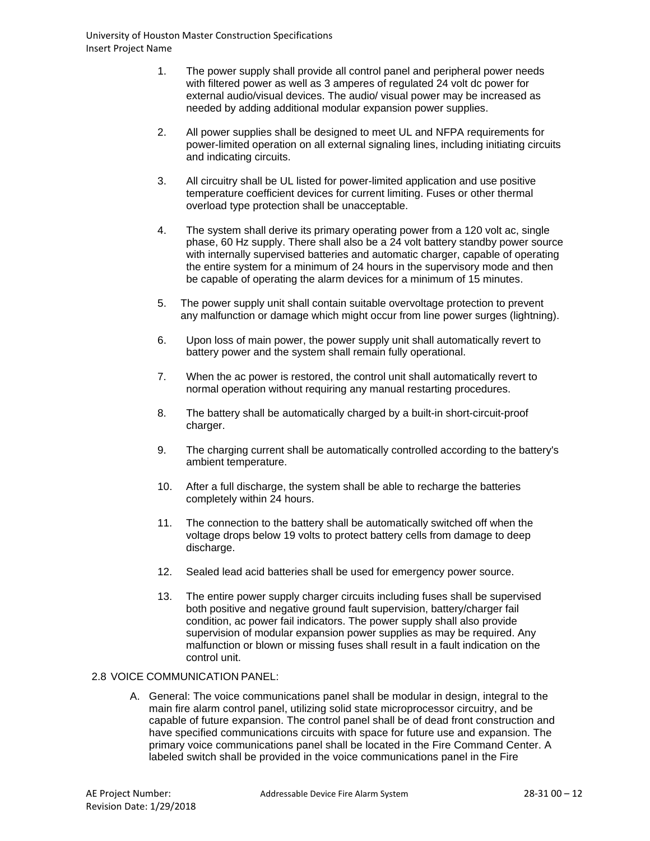- 1. The power supply shall provide all control panel and peripheral power needs with filtered power as well as 3 amperes of regulated 24 volt dc power for external audio/visual devices. The audio/ visual power may be increased as needed by adding additional modular expansion power supplies.
- 2. All power supplies shall be designed to meet UL and NFPA requirements for power-limited operation on all external signaling lines, including initiating circuits and indicating circuits.
- 3. All circuitry shall be UL listed for power-limited application and use positive temperature coefficient devices for current limiting. Fuses or other thermal overload type protection shall be unacceptable.
- 4. The system shall derive its primary operating power from a 120 volt ac, single phase, 60 Hz supply. There shall also be a 24 volt battery standby power source with internally supervised batteries and automatic charger, capable of operating the entire system for a minimum of 24 hours in the supervisory mode and then be capable of operating the alarm devices for a minimum of 15 minutes.
- 5. The power supply unit shall contain suitable overvoltage protection to prevent any malfunction or damage which might occur from line power surges (lightning).
- 6. Upon loss of main power, the power supply unit shall automatically revert to battery power and the system shall remain fully operational.
- 7. When the ac power is restored, the control unit shall automatically revert to normal operation without requiring any manual restarting procedures.
- 8. The battery shall be automatically charged by a built-in short-circuit-proof charger.
- 9. The charging current shall be automatically controlled according to the battery's ambient temperature.
- 10. After a full discharge, the system shall be able to recharge the batteries completely within 24 hours.
- 11. The connection to the battery shall be automatically switched off when the voltage drops below 19 volts to protect battery cells from damage to deep discharge.
- 12. Sealed lead acid batteries shall be used for emergency power source.
- 13. The entire power supply charger circuits including fuses shall be supervised both positive and negative ground fault supervision, battery/charger fail condition, ac power fail indicators. The power supply shall also provide supervision of modular expansion power supplies as may be required. Any malfunction or blown or missing fuses shall result in a fault indication on the control unit.

#### 2.8 VOICE COMMUNICATION PANEL:

A. General: The voice communications panel shall be modular in design, integral to the main fire alarm control panel, utilizing solid state microprocessor circuitry, and be capable of future expansion. The control panel shall be of dead front construction and have specified communications circuits with space for future use and expansion. The primary voice communications panel shall be located in the Fire Command Center. A labeled switch shall be provided in the voice communications panel in the Fire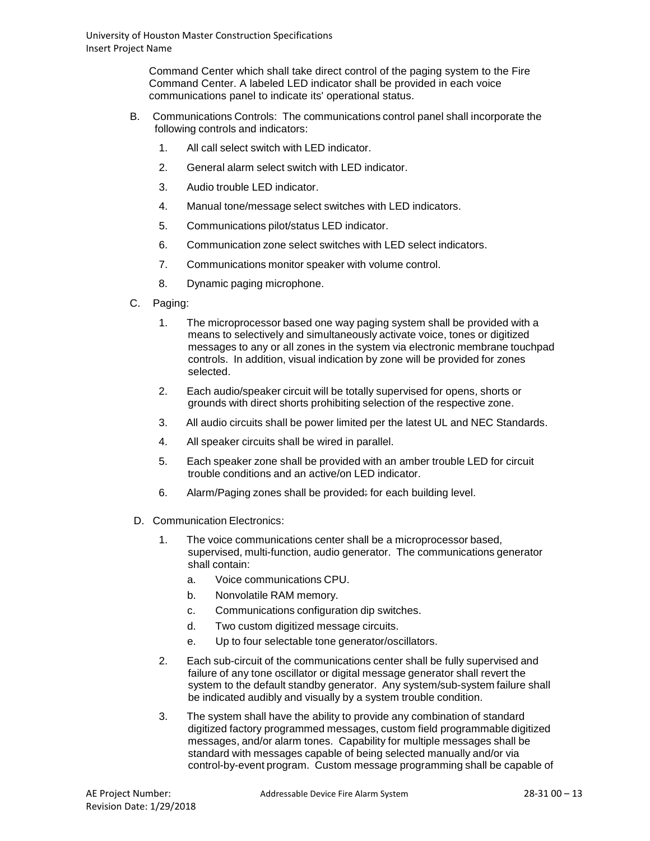Command Center which shall take direct control of the paging system to the Fire Command Center. A labeled LED indicator shall be provided in each voice communications panel to indicate its' operational status.

- B. Communications Controls: The communications control panel shall incorporate the following controls and indicators:
	- 1. All call select switch with LED indicator.
	- 2. General alarm select switch with LED indicator.
	- 3. Audio trouble LED indicator.
	- 4. Manual tone/message select switches with LED indicators.
	- 5. Communications pilot/status LED indicator.
	- 6. Communication zone select switches with LED select indicators.
	- 7. Communications monitor speaker with volume control.
	- 8. Dynamic paging microphone.
- C. Paging:
	- 1. The microprocessor based one way paging system shall be provided with a means to selectively and simultaneously activate voice, tones or digitized messages to any or all zones in the system via electronic membrane touchpad controls. In addition, visual indication by zone will be provided for zones selected.
	- 2. Each audio/speaker circuit will be totally supervised for opens, shorts or grounds with direct shorts prohibiting selection of the respective zone.
	- 3. All audio circuits shall be power limited per the latest UL and NEC Standards.
	- 4. All speaker circuits shall be wired in parallel.
	- 5. Each speaker zone shall be provided with an amber trouble LED for circuit trouble conditions and an active/on LED indicator.
	- 6. Alarm/Paging zones shall be provided: for each building level.
- D. Communication Electronics:
	- 1. The voice communications center shall be a microprocessor based, supervised, multi-function, audio generator. The communications generator shall contain:
		- a. Voice communications CPU.
		- b. Nonvolatile RAM memory.
		- c. Communications configuration dip switches.
		- d. Two custom digitized message circuits.
		- e. Up to four selectable tone generator/oscillators.
	- 2. Each sub-circuit of the communications center shall be fully supervised and failure of any tone oscillator or digital message generator shall revert the system to the default standby generator. Any system/sub-system failure shall be indicated audibly and visually by a system trouble condition.
	- 3. The system shall have the ability to provide any combination of standard digitized factory programmed messages, custom field programmable digitized messages, and/or alarm tones. Capability for multiple messages shall be standard with messages capable of being selected manually and/or via control-by-event program. Custom message programming shall be capable of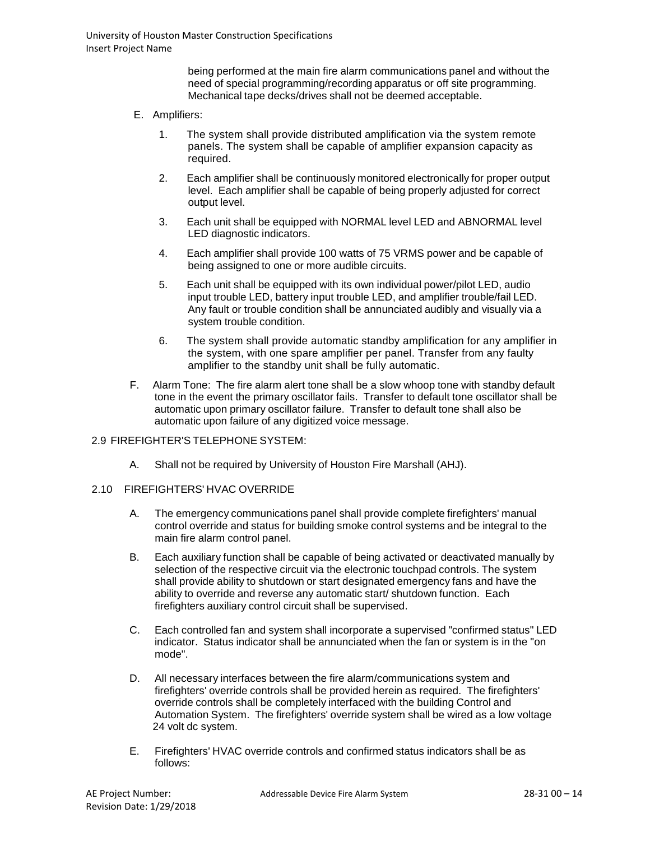being performed at the main fire alarm communications panel and without the need of special programming/recording apparatus or off site programming. Mechanical tape decks/drives shall not be deemed acceptable.

### E. Amplifiers:

- 1. The system shall provide distributed amplification via the system remote panels. The system shall be capable of amplifier expansion capacity as required.
- 2. Each amplifier shall be continuously monitored electronically for proper output level. Each amplifier shall be capable of being properly adjusted for correct output level.
- 3. Each unit shall be equipped with NORMAL level LED and ABNORMAL level LED diagnostic indicators.
- 4. Each amplifier shall provide 100 watts of 75 VRMS power and be capable of being assigned to one or more audible circuits.
- 5. Each unit shall be equipped with its own individual power/pilot LED, audio input trouble LED, battery input trouble LED, and amplifier trouble/fail LED. Any fault or trouble condition shall be annunciated audibly and visually via a system trouble condition.
- 6. The system shall provide automatic standby amplification for any amplifier in the system, with one spare amplifier per panel. Transfer from any faulty amplifier to the standby unit shall be fully automatic.
- F. Alarm Tone: The fire alarm alert tone shall be a slow whoop tone with standby default tone in the event the primary oscillator fails. Transfer to default tone oscillator shall be automatic upon primary oscillator failure. Transfer to default tone shall also be automatic upon failure of any digitized voice message.

#### 2.9 FIREFIGHTER'S TELEPHONE SYSTEM:

- A. Shall not be required by University of Houston Fire Marshall (AHJ).
- 2.10 FIREFIGHTERS' HVAC OVERRIDE
	- A. The emergency communications panel shall provide complete firefighters' manual control override and status for building smoke control systems and be integral to the main fire alarm control panel.
	- B. Each auxiliary function shall be capable of being activated or deactivated manually by selection of the respective circuit via the electronic touchpad controls. The system shall provide ability to shutdown or start designated emergency fans and have the ability to override and reverse any automatic start/ shutdown function. Each firefighters auxiliary control circuit shall be supervised.
	- C. Each controlled fan and system shall incorporate a supervised "confirmed status" LED indicator. Status indicator shall be annunciated when the fan or system is in the "on mode".
	- D. All necessary interfaces between the fire alarm/communications system and firefighters' override controls shall be provided herein as required. The firefighters' override controls shall be completely interfaced with the building Control and Automation System. The firefighters' override system shall be wired as a low voltage 24 volt dc system.
	- E. Firefighters' HVAC override controls and confirmed status indicators shall be as follows: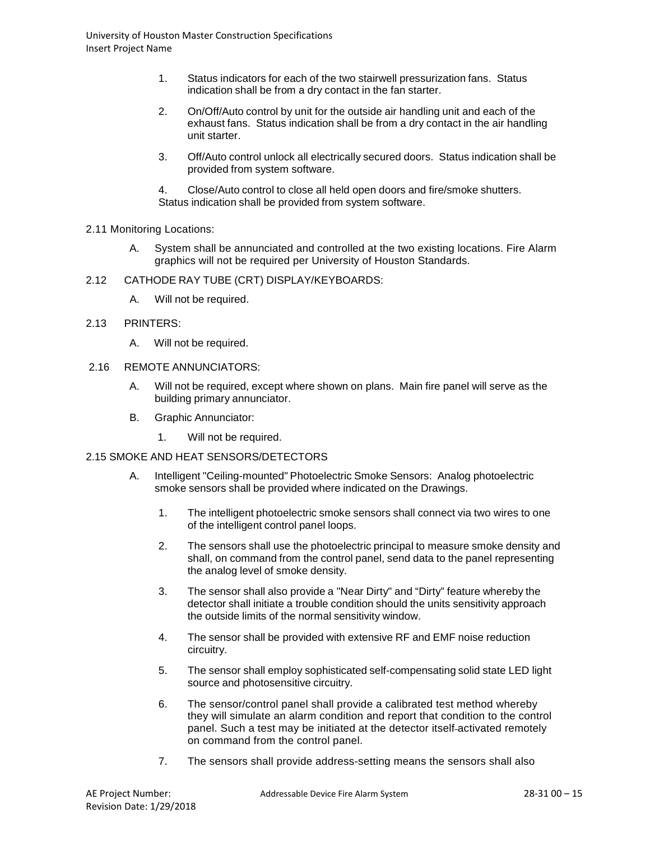- 1. Status indicators for each of the two stairwell pressurization fans. Status indication shall be from a dry contact in the fan starter.
- 2. On/Off/Auto control by unit for the outside air handling unit and each of the exhaust fans. Status indication shall be from a dry contact in the air handling unit starter.
- 3. Off/Auto control unlock all electrically secured doors. Status indication shall be provided from system software.

4. Close/Auto control to close all held open doors and fire/smoke shutters. Status indication shall be provided from system software.

- 2.11 Monitoring Locations:
	- A. System shall be annunciated and controlled at the two existing locations. Fire Alarm graphics will not be required per University of Houston Standards.
- 2.12 CATHODE RAY TUBE (CRT) DISPLAY/KEYBOARDS:
	- A. Will not be required.
- 2.13 PRINTERS:
	- A. Will not be required.
- 2.16 REMOTE ANNUNCIATORS:
	- A. Will not be required, except where shown on plans. Main fire panel will serve as the building primary annunciator.
	- B. Graphic Annunciator:
		- 1. Will not be required.
- 2.15 SMOKE AND HEAT SENSORS/DETECTORS
	- A. Intelligent "Ceiling-mounted" Photoelectric Smoke Sensors: Analog photoelectric smoke sensors shall be provided where indicated on the Drawings.
		- 1. The intelligent photoelectric smoke sensors shall connect via two wires to one of the intelligent control panel loops.
		- 2. The sensors shall use the photoelectric principal to measure smoke density and shall, on command from the control panel, send data to the panel representing the analog level of smoke density.
		- 3. The sensor shall also provide a "Near Dirty" and "Dirty" feature whereby the detector shall initiate a trouble condition should the units sensitivity approach the outside limits of the normal sensitivity window.
		- 4. The sensor shall be provided with extensive RF and EMF noise reduction circuitry.
		- 5. The sensor shall employ sophisticated self-compensating solid state LED light source and photosensitive circuitry.
		- 6. The sensor/control panel shall provide a calibrated test method whereby they will simulate an alarm condition and report that condition to the control panel. Such a test may be initiated at the detector itself activated remotely on command from the control panel.
		- 7. The sensors shall provide address-setting means the sensors shall also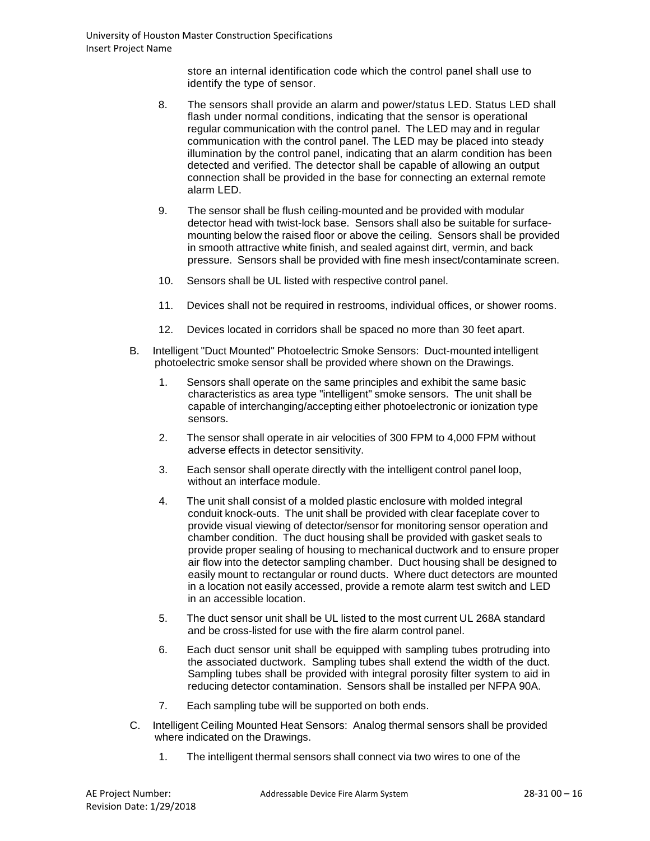store an internal identification code which the control panel shall use to identify the type of sensor.

- 8. The sensors shall provide an alarm and power/status LED. Status LED shall flash under normal conditions, indicating that the sensor is operational regular communication with the control panel. The LED may and in regular communication with the control panel. The LED may be placed into steady illumination by the control panel, indicating that an alarm condition has been detected and verified. The detector shall be capable of allowing an output connection shall be provided in the base for connecting an external remote alarm LED.
- 9. The sensor shall be flush ceiling-mounted and be provided with modular detector head with twist-lock base. Sensors shall also be suitable for surfacemounting below the raised floor or above the ceiling. Sensors shall be provided in smooth attractive white finish, and sealed against dirt, vermin, and back pressure. Sensors shall be provided with fine mesh insect/contaminate screen.
- 10. Sensors shall be UL listed with respective control panel.
- 11. Devices shall not be required in restrooms, individual offices, or shower rooms.
- 12. Devices located in corridors shall be spaced no more than 30 feet apart.
- B. Intelligent "Duct Mounted" Photoelectric Smoke Sensors: Duct-mounted intelligent photoelectric smoke sensor shall be provided where shown on the Drawings.
	- 1. Sensors shall operate on the same principles and exhibit the same basic characteristics as area type "intelligent" smoke sensors. The unit shall be capable of interchanging/accepting either photoelectronic or ionization type sensors.
	- 2. The sensor shall operate in air velocities of 300 FPM to 4,000 FPM without adverse effects in detector sensitivity.
	- 3. Each sensor shall operate directly with the intelligent control panel loop, without an interface module.
	- 4. The unit shall consist of a molded plastic enclosure with molded integral conduit knock-outs. The unit shall be provided with clear faceplate cover to provide visual viewing of detector/sensor for monitoring sensor operation and chamber condition. The duct housing shall be provided with gasket seals to provide proper sealing of housing to mechanical ductwork and to ensure proper air flow into the detector sampling chamber. Duct housing shall be designed to easily mount to rectangular or round ducts. Where duct detectors are mounted in a location not easily accessed, provide a remote alarm test switch and LED in an accessible location.
	- 5. The duct sensor unit shall be UL listed to the most current UL 268A standard and be cross-listed for use with the fire alarm control panel.
	- 6. Each duct sensor unit shall be equipped with sampling tubes protruding into the associated ductwork. Sampling tubes shall extend the width of the duct. Sampling tubes shall be provided with integral porosity filter system to aid in reducing detector contamination. Sensors shall be installed per NFPA 90A.
	- 7. Each sampling tube will be supported on both ends.
- C. Intelligent Ceiling Mounted Heat Sensors: Analog thermal sensors shall be provided where indicated on the Drawings.
	- 1. The intelligent thermal sensors shall connect via two wires to one of the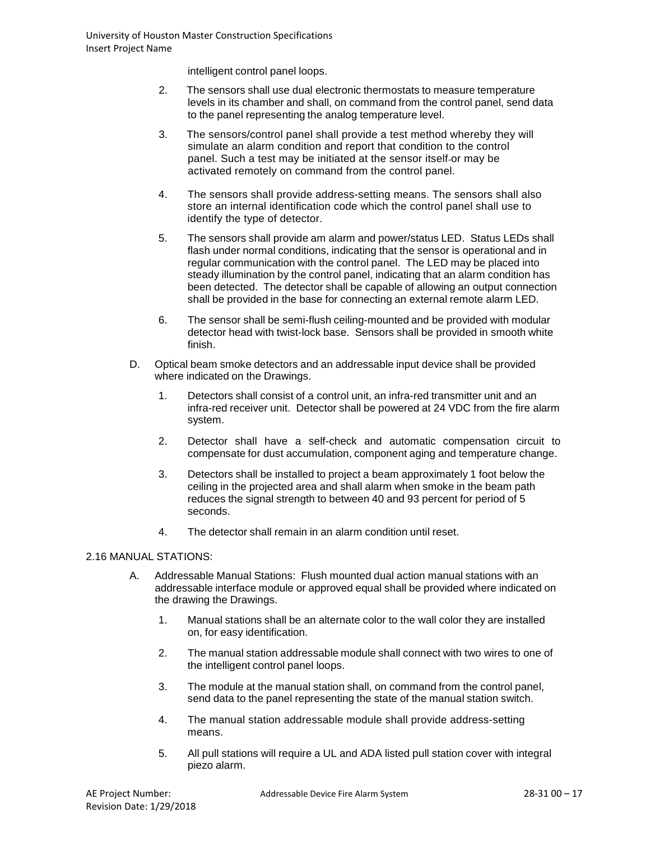intelligent control panel loops.

- 2. The sensors shall use dual electronic thermostats to measure temperature levels in its chamber and shall, on command from the control panel, send data to the panel representing the analog temperature level.
- 3. The sensors/control panel shall provide a test method whereby they will simulate an alarm condition and report that condition to the control panel. Such a test may be initiated at the sensor itself or may be activated remotely on command from the control panel.
- 4. The sensors shall provide address-setting means. The sensors shall also store an internal identification code which the control panel shall use to identify the type of detector.
- 5. The sensors shall provide am alarm and power/status LED. Status LEDs shall flash under normal conditions, indicating that the sensor is operational and in regular communication with the control panel. The LED may be placed into steady illumination by the control panel, indicating that an alarm condition has been detected. The detector shall be capable of allowing an output connection shall be provided in the base for connecting an external remote alarm LED.
- 6. The sensor shall be semi-flush ceiling-mounted and be provided with modular detector head with twist-lock base. Sensors shall be provided in smooth white finish.
- D. Optical beam smoke detectors and an addressable input device shall be provided where indicated on the Drawings.
	- 1. Detectors shall consist of a control unit, an infra-red transmitter unit and an infra-red receiver unit. Detector shall be powered at 24 VDC from the fire alarm system.
	- 2. Detector shall have a self-check and automatic compensation circuit to compensate for dust accumulation, component aging and temperature change.
	- 3. Detectors shall be installed to project a beam approximately 1 foot below the ceiling in the projected area and shall alarm when smoke in the beam path reduces the signal strength to between 40 and 93 percent for period of 5 seconds.
	- 4. The detector shall remain in an alarm condition until reset.

## 2.16 MANUAL STATIONS:

- A. Addressable Manual Stations: Flush mounted dual action manual stations with an addressable interface module or approved equal shall be provided where indicated on the drawing the Drawings.
	- 1. Manual stations shall be an alternate color to the wall color they are installed on, for easy identification.
	- 2. The manual station addressable module shall connect with two wires to one of the intelligent control panel loops.
	- 3. The module at the manual station shall, on command from the control panel, send data to the panel representing the state of the manual station switch.
	- 4. The manual station addressable module shall provide address-setting means.
	- 5. All pull stations will require a UL and ADA listed pull station cover with integral piezo alarm.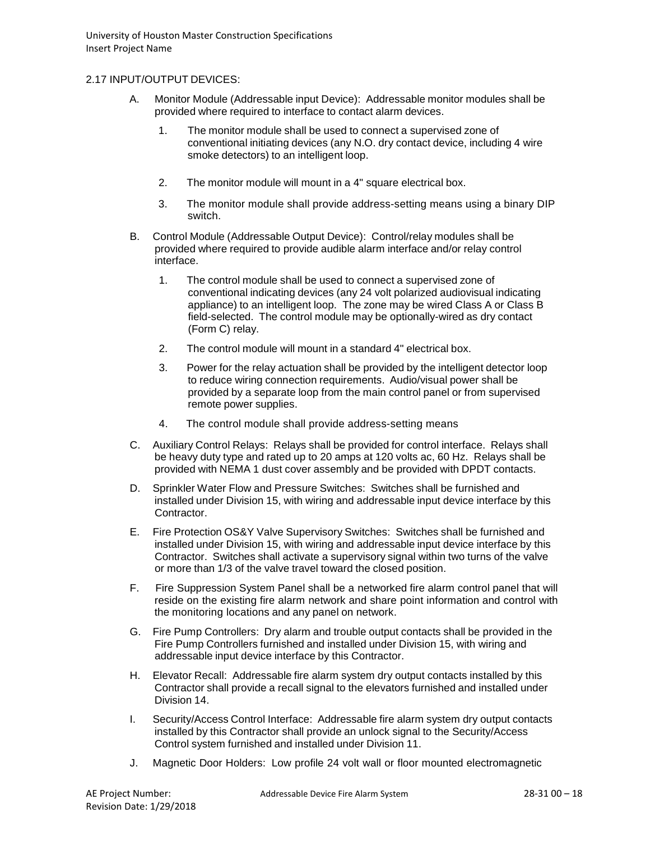### 2.17 INPUT/OUTPUT DEVICES:

- A. Monitor Module (Addressable input Device): Addressable monitor modules shall be provided where required to interface to contact alarm devices.
	- 1. The monitor module shall be used to connect a supervised zone of conventional initiating devices (any N.O. dry contact device, including 4 wire smoke detectors) to an intelligent loop.
	- 2. The monitor module will mount in a 4" square electrical box.
	- 3. The monitor module shall provide address-setting means using a binary DIP switch.
- B. Control Module (Addressable Output Device): Control/relay modules shall be provided where required to provide audible alarm interface and/or relay control interface.
	- 1. The control module shall be used to connect a supervised zone of conventional indicating devices (any 24 volt polarized audiovisual indicating appliance) to an intelligent loop. The zone may be wired Class A or Class B field-selected. The control module may be optionally-wired as dry contact (Form C) relay.
	- 2. The control module will mount in a standard 4" electrical box.
	- 3. Power for the relay actuation shall be provided by the intelligent detector loop to reduce wiring connection requirements. Audio/visual power shall be provided by a separate loop from the main control panel or from supervised remote power supplies.
	- 4. The control module shall provide address-setting means
- C. Auxiliary Control Relays: Relays shall be provided for control interface. Relays shall be heavy duty type and rated up to 20 amps at 120 volts ac, 60 Hz. Relays shall be provided with NEMA 1 dust cover assembly and be provided with DPDT contacts.
- D. Sprinkler Water Flow and Pressure Switches: Switches shall be furnished and installed under Division 15, with wiring and addressable input device interface by this Contractor.
- E. Fire Protection OS&Y Valve Supervisory Switches: Switches shall be furnished and installed under Division 15, with wiring and addressable input device interface by this Contractor. Switches shall activate a supervisory signal within two turns of the valve or more than 1/3 of the valve travel toward the closed position.
- F. Fire Suppression System Panel shall be a networked fire alarm control panel that will reside on the existing fire alarm network and share point information and control with the monitoring locations and any panel on network.
- G. Fire Pump Controllers: Dry alarm and trouble output contacts shall be provided in the Fire Pump Controllers furnished and installed under Division 15, with wiring and addressable input device interface by this Contractor.
- H. Elevator Recall: Addressable fire alarm system dry output contacts installed by this Contractor shall provide a recall signal to the elevators furnished and installed under Division 14.
- I. Security/Access Control Interface: Addressable fire alarm system dry output contacts installed by this Contractor shall provide an unlock signal to the Security/Access Control system furnished and installed under Division 11.
- J. Magnetic Door Holders: Low profile 24 volt wall or floor mounted electromagnetic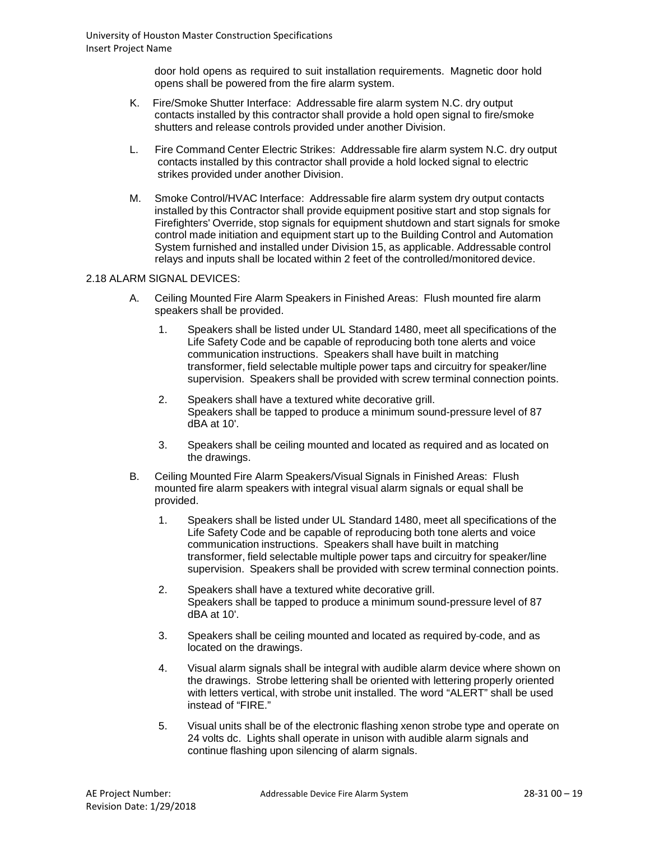door hold opens as required to suit installation requirements. Magnetic door hold opens shall be powered from the fire alarm system.

- K. Fire/Smoke Shutter Interface: Addressable fire alarm system N.C. dry output contacts installed by this contractor shall provide a hold open signal to fire/smoke shutters and release controls provided under another Division.
- L. Fire Command Center Electric Strikes: Addressable fire alarm system N.C. dry output contacts installed by this contractor shall provide a hold locked signal to electric strikes provided under another Division.
- M. Smoke Control/HVAC Interface: Addressable fire alarm system dry output contacts installed by this Contractor shall provide equipment positive start and stop signals for Firefighters' Override, stop signals for equipment shutdown and start signals for smoke control made initiation and equipment start up to the Building Control and Automation System furnished and installed under Division 15, as applicable. Addressable control relays and inputs shall be located within 2 feet of the controlled/monitored device.

#### 2.18 ALARM SIGNAL DEVICES:

- A. Ceiling Mounted Fire Alarm Speakers in Finished Areas: Flush mounted fire alarm speakers shall be provided.
	- 1. Speakers shall be listed under UL Standard 1480, meet all specifications of the Life Safety Code and be capable of reproducing both tone alerts and voice communication instructions. Speakers shall have built in matching transformer, field selectable multiple power taps and circuitry for speaker/line supervision. Speakers shall be provided with screw terminal connection points.
	- 2. Speakers shall have a textured white decorative grill. Speakers shall be tapped to produce a minimum sound-pressure level of 87 dBA at 10'.
	- 3. Speakers shall be ceiling mounted and located as required and as located on the drawings.
- B. Ceiling Mounted Fire Alarm Speakers/Visual Signals in Finished Areas: Flush mounted fire alarm speakers with integral visual alarm signals or equal shall be provided.
	- 1. Speakers shall be listed under UL Standard 1480, meet all specifications of the Life Safety Code and be capable of reproducing both tone alerts and voice communication instructions. Speakers shall have built in matching transformer, field selectable multiple power taps and circuitry for speaker/line supervision. Speakers shall be provided with screw terminal connection points.
	- 2. Speakers shall have a textured white decorative grill. Speakers shall be tapped to produce a minimum sound-pressure level of 87 dBA at 10'.
	- 3. Speakers shall be ceiling mounted and located as required by code, and as located on the drawings.
	- 4. Visual alarm signals shall be integral with audible alarm device where shown on the drawings. Strobe lettering shall be oriented with lettering properly oriented with letters vertical, with strobe unit installed. The word "ALERT" shall be used instead of "FIRE."
	- 5. Visual units shall be of the electronic flashing xenon strobe type and operate on 24 volts dc. Lights shall operate in unison with audible alarm signals and continue flashing upon silencing of alarm signals.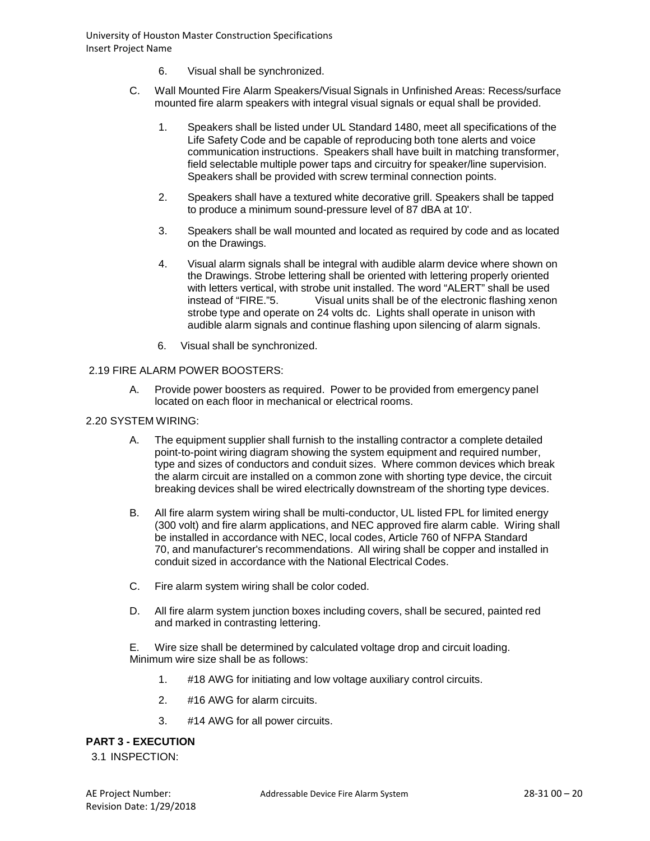- 6. Visual shall be synchronized.
- C. Wall Mounted Fire Alarm Speakers/Visual Signals in Unfinished Areas: Recess/surface mounted fire alarm speakers with integral visual signals or equal shall be provided.
	- 1. Speakers shall be listed under UL Standard 1480, meet all specifications of the Life Safety Code and be capable of reproducing both tone alerts and voice communication instructions. Speakers shall have built in matching transformer, field selectable multiple power taps and circuitry for speaker/line supervision. Speakers shall be provided with screw terminal connection points.
	- 2. Speakers shall have a textured white decorative grill. Speakers shall be tapped to produce a minimum sound-pressure level of 87 dBA at 10'.
	- 3. Speakers shall be wall mounted and located as required by code and as located on the Drawings.
	- 4. Visual alarm signals shall be integral with audible alarm device where shown on the Drawings. Strobe lettering shall be oriented with lettering properly oriented with letters vertical, with strobe unit installed. The word "ALERT" shall be used instead of "FIRE."5. Visual units shall be of the electronic flashing xenon strobe type and operate on 24 volts dc. Lights shall operate in unison with audible alarm signals and continue flashing upon silencing of alarm signals.
	- 6. Visual shall be synchronized.

### 2.19 FIRE ALARM POWER BOOSTERS:

- A. Provide power boosters as required. Power to be provided from emergency panel located on each floor in mechanical or electrical rooms.
- 2.20 SYSTEM WIRING:
	- A. The equipment supplier shall furnish to the installing contractor a complete detailed point-to-point wiring diagram showing the system equipment and required number, type and sizes of conductors and conduit sizes. Where common devices which break the alarm circuit are installed on a common zone with shorting type device, the circuit breaking devices shall be wired electrically downstream of the shorting type devices.
	- B. All fire alarm system wiring shall be multi-conductor, UL listed FPL for limited energy (300 volt) and fire alarm applications, and NEC approved fire alarm cable. Wiring shall be installed in accordance with NEC, local codes, Article 760 of NFPA Standard 70, and manufacturer's recommendations. All wiring shall be copper and installed in conduit sized in accordance with the National Electrical Codes.
	- C. Fire alarm system wiring shall be color coded.
	- D. All fire alarm system junction boxes including covers, shall be secured, painted red and marked in contrasting lettering.

E. Wire size shall be determined by calculated voltage drop and circuit loading. Minimum wire size shall be as follows:

- 1. #18 AWG for initiating and low voltage auxiliary control circuits.
- 2. #16 AWG for alarm circuits.
- 3. #14 AWG for all power circuits.

## **PART 3 - EXECUTION**

3.1 INSPECTION: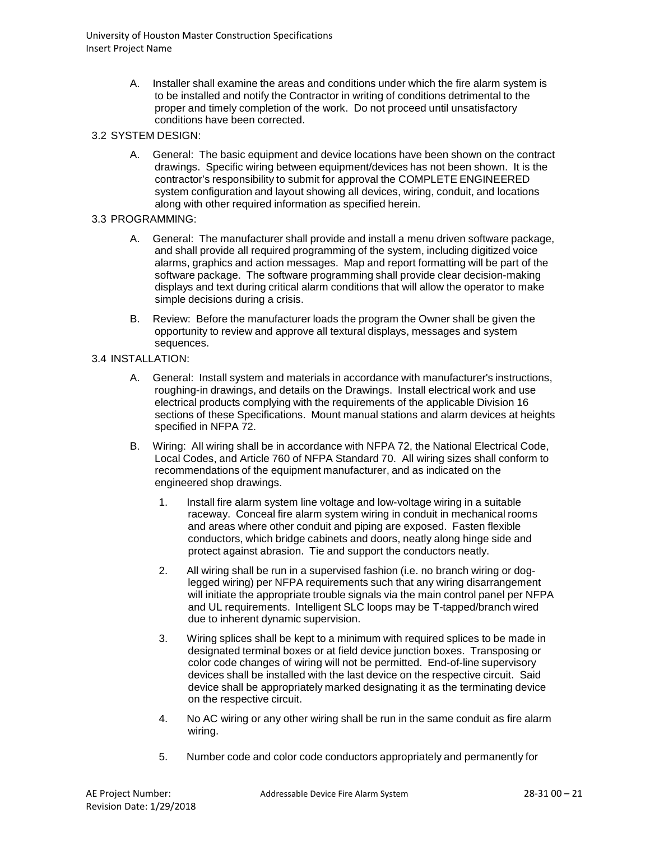- A. Installer shall examine the areas and conditions under which the fire alarm system is to be installed and notify the Contractor in writing of conditions detrimental to the proper and timely completion of the work. Do not proceed until unsatisfactory conditions have been corrected.
- 3.2 SYSTEM DESIGN:
	- A. General: The basic equipment and device locations have been shown on the contract drawings. Specific wiring between equipment/devices has not been shown. It is the contractor's responsibility to submit for approval the COMPLETE ENGINEERED system configuration and layout showing all devices, wiring, conduit, and locations along with other required information as specified herein.
- 3.3 PROGRAMMING:
	- A. General: The manufacturer shall provide and install a menu driven software package, and shall provide all required programming of the system, including digitized voice alarms, graphics and action messages. Map and report formatting will be part of the software package. The software programming shall provide clear decision-making displays and text during critical alarm conditions that will allow the operator to make simple decisions during a crisis.
	- B. Review: Before the manufacturer loads the program the Owner shall be given the opportunity to review and approve all textural displays, messages and system sequences.
- 3.4 INSTALLATION:
	- A. General: Install system and materials in accordance with manufacturer's instructions, roughing-in drawings, and details on the Drawings. Install electrical work and use electrical products complying with the requirements of the applicable Division 16 sections of these Specifications. Mount manual stations and alarm devices at heights specified in NFPA 72.
	- B. Wiring: All wiring shall be in accordance with NFPA 72, the National Electrical Code, Local Codes, and Article 760 of NFPA Standard 70. All wiring sizes shall conform to recommendations of the equipment manufacturer, and as indicated on the engineered shop drawings.
		- 1. Install fire alarm system line voltage and low-voltage wiring in a suitable raceway. Conceal fire alarm system wiring in conduit in mechanical rooms and areas where other conduit and piping are exposed. Fasten flexible conductors, which bridge cabinets and doors, neatly along hinge side and protect against abrasion. Tie and support the conductors neatly.
		- 2. All wiring shall be run in a supervised fashion (i.e. no branch wiring or doglegged wiring) per NFPA requirements such that any wiring disarrangement will initiate the appropriate trouble signals via the main control panel per NFPA and UL requirements. Intelligent SLC loops may be T-tapped/branch wired due to inherent dynamic supervision.
		- 3. Wiring splices shall be kept to a minimum with required splices to be made in designated terminal boxes or at field device junction boxes. Transposing or color code changes of wiring will not be permitted. End-of-line supervisory devices shall be installed with the last device on the respective circuit. Said device shall be appropriately marked designating it as the terminating device on the respective circuit.
		- 4. No AC wiring or any other wiring shall be run in the same conduit as fire alarm wiring.
		- 5. Number code and color code conductors appropriately and permanently for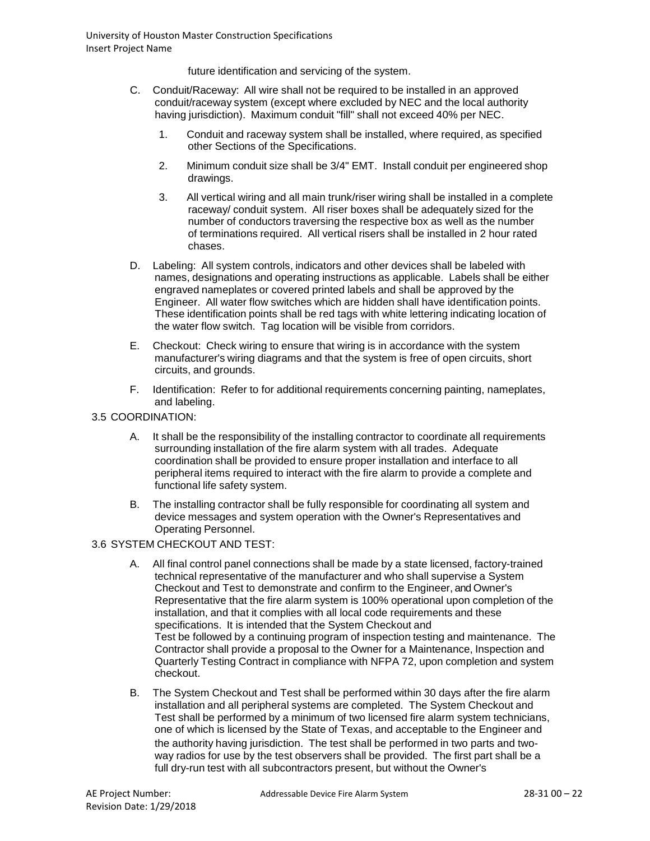future identification and servicing of the system.

- C. Conduit/Raceway: All wire shall not be required to be installed in an approved conduit/raceway system (except where excluded by NEC and the local authority having jurisdiction). Maximum conduit "fill" shall not exceed 40% per NEC.
	- 1. Conduit and raceway system shall be installed, where required, as specified other Sections of the Specifications.
	- 2. Minimum conduit size shall be 3/4" EMT. Install conduit per engineered shop drawings.
	- 3. All vertical wiring and all main trunk/riser wiring shall be installed in a complete raceway/ conduit system. All riser boxes shall be adequately sized for the number of conductors traversing the respective box as well as the number of terminations required. All vertical risers shall be installed in 2 hour rated chases.
- D. Labeling: All system controls, indicators and other devices shall be labeled with names, designations and operating instructions as applicable. Labels shall be either engraved nameplates or covered printed labels and shall be approved by the Engineer. All water flow switches which are hidden shall have identification points. These identification points shall be red tags with white lettering indicating location of the water flow switch. Tag location will be visible from corridors.
- E. Checkout: Check wiring to ensure that wiring is in accordance with the system manufacturer's wiring diagrams and that the system is free of open circuits, short circuits, and grounds.
- F. Identification: Refer to for additional requirements concerning painting, nameplates, and labeling.
- 3.5 COORDINATION:
	- A. It shall be the responsibility of the installing contractor to coordinate all requirements surrounding installation of the fire alarm system with all trades. Adequate coordination shall be provided to ensure proper installation and interface to all peripheral items required to interact with the fire alarm to provide a complete and functional life safety system.
	- B. The installing contractor shall be fully responsible for coordinating all system and device messages and system operation with the Owner's Representatives and Operating Personnel.

## 3.6 SYSTEM CHECKOUT AND TEST:

- A. All final control panel connections shall be made by a state licensed, factory-trained technical representative of the manufacturer and who shall supervise a System Checkout and Test to demonstrate and confirm to the Engineer, and Owner's Representative that the fire alarm system is 100% operational upon completion of the installation, and that it complies with all local code requirements and these specifications. It is intended that the System Checkout and Test be followed by a continuing program of inspection testing and maintenance. The Contractor shall provide a proposal to the Owner for a Maintenance, Inspection and Quarterly Testing Contract in compliance with NFPA 72, upon completion and system checkout.
- B. The System Checkout and Test shall be performed within 30 days after the fire alarm installation and all peripheral systems are completed. The System Checkout and Test shall be performed by a minimum of two licensed fire alarm system technicians, one of which is licensed by the State of Texas, and acceptable to the Engineer and the authority having jurisdiction. The test shall be performed in two parts and twoway radios for use by the test observers shall be provided. The first part shall be a full dry-run test with all subcontractors present, but without the Owner's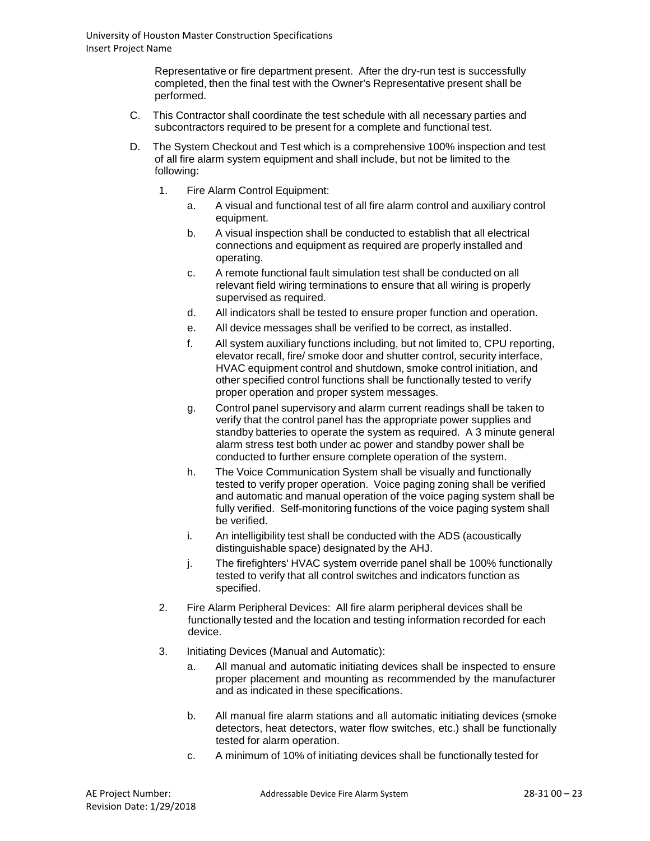Representative or fire department present. After the dry-run test is successfully completed, then the final test with the Owner's Representative present shall be performed.

- C. This Contractor shall coordinate the test schedule with all necessary parties and subcontractors required to be present for a complete and functional test.
- D. The System Checkout and Test which is a comprehensive 100% inspection and test of all fire alarm system equipment and shall include, but not be limited to the following:
	- 1. Fire Alarm Control Equipment:
		- a. A visual and functional test of all fire alarm control and auxiliary control equipment.
		- b. A visual inspection shall be conducted to establish that all electrical connections and equipment as required are properly installed and operating.
		- c. A remote functional fault simulation test shall be conducted on all relevant field wiring terminations to ensure that all wiring is properly supervised as required.
		- d. All indicators shall be tested to ensure proper function and operation.
		- e. All device messages shall be verified to be correct, as installed.
		- f. All system auxiliary functions including, but not limited to, CPU reporting, elevator recall, fire/ smoke door and shutter control, security interface, HVAC equipment control and shutdown, smoke control initiation, and other specified control functions shall be functionally tested to verify proper operation and proper system messages.
		- g. Control panel supervisory and alarm current readings shall be taken to verify that the control panel has the appropriate power supplies and standby batteries to operate the system as required. A 3 minute general alarm stress test both under ac power and standby power shall be conducted to further ensure complete operation of the system.
		- h. The Voice Communication System shall be visually and functionally tested to verify proper operation. Voice paging zoning shall be verified and automatic and manual operation of the voice paging system shall be fully verified. Self-monitoring functions of the voice paging system shall be verified.
		- i. An intelligibility test shall be conducted with the ADS (acoustically distinguishable space) designated by the AHJ.
		- j. The firefighters' HVAC system override panel shall be 100% functionally tested to verify that all control switches and indicators function as specified.
	- 2. Fire Alarm Peripheral Devices: All fire alarm peripheral devices shall be functionally tested and the location and testing information recorded for each device.
	- 3. Initiating Devices (Manual and Automatic):
		- a. All manual and automatic initiating devices shall be inspected to ensure proper placement and mounting as recommended by the manufacturer and as indicated in these specifications.
		- b. All manual fire alarm stations and all automatic initiating devices (smoke detectors, heat detectors, water flow switches, etc.) shall be functionally tested for alarm operation.
		- c. A minimum of 10% of initiating devices shall be functionally tested for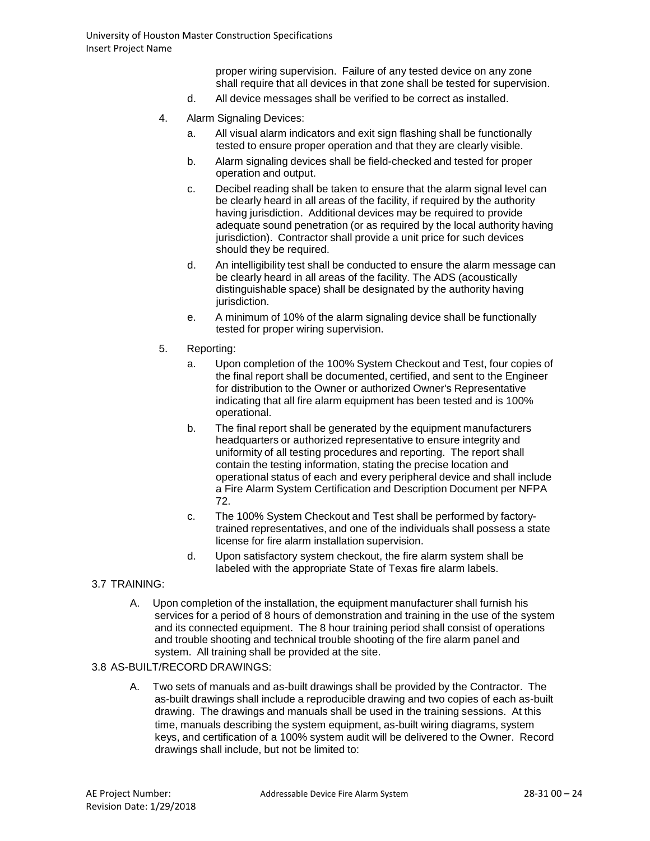proper wiring supervision. Failure of any tested device on any zone shall require that all devices in that zone shall be tested for supervision.

- d. All device messages shall be verified to be correct as installed.
- 4. Alarm Signaling Devices:
	- a. All visual alarm indicators and exit sign flashing shall be functionally tested to ensure proper operation and that they are clearly visible.
	- b. Alarm signaling devices shall be field-checked and tested for proper operation and output.
	- c. Decibel reading shall be taken to ensure that the alarm signal level can be clearly heard in all areas of the facility, if required by the authority having jurisdiction. Additional devices may be required to provide adequate sound penetration (or as required by the local authority having jurisdiction). Contractor shall provide a unit price for such devices should they be required.
	- d. An intelligibility test shall be conducted to ensure the alarm message can be clearly heard in all areas of the facility. The ADS (acoustically distinguishable space) shall be designated by the authority having jurisdiction.
	- e. A minimum of 10% of the alarm signaling device shall be functionally tested for proper wiring supervision.
- 5. Reporting:
	- a. Upon completion of the 100% System Checkout and Test, four copies of the final report shall be documented, certified, and sent to the Engineer for distribution to the Owner or authorized Owner's Representative indicating that all fire alarm equipment has been tested and is 100% operational.
	- b. The final report shall be generated by the equipment manufacturers headquarters or authorized representative to ensure integrity and uniformity of all testing procedures and reporting. The report shall contain the testing information, stating the precise location and operational status of each and every peripheral device and shall include a Fire Alarm System Certification and Description Document per NFPA 72.
	- c. The 100% System Checkout and Test shall be performed by factorytrained representatives, and one of the individuals shall possess a state license for fire alarm installation supervision.
	- d. Upon satisfactory system checkout, the fire alarm system shall be labeled with the appropriate State of Texas fire alarm labels.

## 3.7 TRAINING:

A. Upon completion of the installation, the equipment manufacturer shall furnish his services for a period of 8 hours of demonstration and training in the use of the system and its connected equipment. The 8 hour training period shall consist of operations and trouble shooting and technical trouble shooting of the fire alarm panel and system. All training shall be provided at the site.

### 3.8 AS-BUILT/RECORD DRAWINGS:

A. Two sets of manuals and as-built drawings shall be provided by the Contractor. The as-built drawings shall include a reproducible drawing and two copies of each as-built drawing. The drawings and manuals shall be used in the training sessions. At this time, manuals describing the system equipment, as-built wiring diagrams, system keys, and certification of a 100% system audit will be delivered to the Owner. Record drawings shall include, but not be limited to: